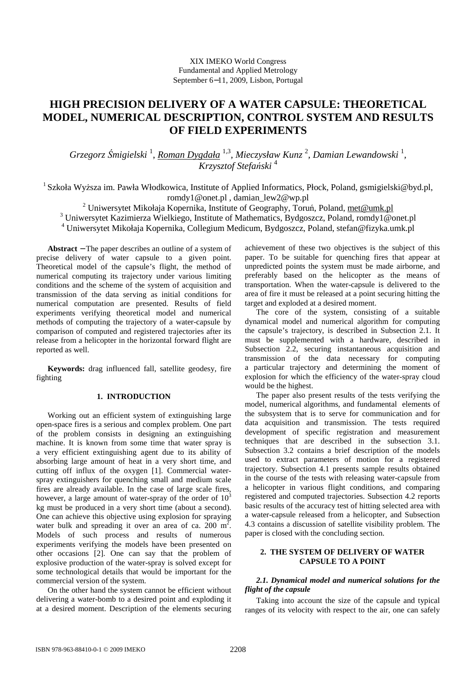# **HIGH PRECISION DELIVERY OF A WATER CAPSULE: THEORETICAL MODEL, NUMERICAL DESCRIPTION, CONTROL SYSTEM AND RESULTS OF FIELD EXPERIMENTS**

Grzegorz Śmigielski <sup>1</sup>, <u>Roman Dygdała 1,3, Mieczysław Kunz 2, Damian Lewandowski <sup>1</sup>,</u> *Krzysztof Stefański* <sup>4</sup>

<sup>1</sup> Szkoła Wyższa im. Pawła Włodkowica, Institute of Applied Informatics, Płock, Poland, gsmigielski@byd.pl, romdy1@onet.pl , damian\_lew2@wp.pl

<sup>2</sup> Uniwersytet Mikołaja Kopernika, Institute of Geography, Toruń, Poland, met@umk.pl

<sup>3</sup> Uniwersytet Kazimierza Wielkiego, Institute of Mathematics, Bydgoszcz, Poland, romdy1@onet.pl

4 Uniwersytet Mikołaja Kopernika, Collegium Medicum, Bydgoszcz, Poland, stefan@fizyka.umk.pl

**Abstract** − The paper describes an outline of a system of precise delivery of water capsule to a given point. Theoretical model of the capsule's flight, the method of numerical computing its trajectory under various limiting conditions and the scheme of the system of acquisition and transmission of the data serving as initial conditions for numerical computation are presented. Results of field experiments verifying theoretical model and numerical methods of computing the trajectory of a water-capsule by comparison of computed and registered trajectories after its release from a helicopter in the horizontal forward flight are reported as well.

**Keywords:** drag influenced fall, satellite geodesy, fire fighting

# **1. INTRODUCTION**

Working out an efficient system of extinguishing large open-space fires is a serious and complex problem. One part of the problem consists in designing an extinguishing machine. It is known from some time that water spray is a very efficient extinguishing agent due to its ability of absorbing large amount of heat in a very short time, and cutting off influx of the oxygen [1]. Commercial waterspray extinguishers for quenching small and medium scale fires are already available. In the case of large scale fires, however, a large amount of water-spray of the order of  $10<sup>3</sup>$ kg must be produced in a very short time (about a second). One can achieve this objective using explosion for spraying water bulk and spreading it over an area of ca.  $200 \text{ m}^2$ . Models of such process and results of numerous experiments verifying the models have been presented on other occasions [2]. One can say that the problem of explosive production of the water-spray is solved except for some technological details that would be important for the commercial version of the system.

On the other hand the system cannot be efficient without delivering a water-bomb to a desired point and exploding it at a desired moment. Description of the elements securing achievement of these two objectives is the subject of this paper. To be suitable for quenching fires that appear at unpredicted points the system must be made airborne, and preferably based on the helicopter as the means of transportation. When the water-capsule is delivered to the area of fire it must be released at a point securing hitting the target and exploded at a desired moment.

The core of the system, consisting of a suitable dynamical model and numerical algorithm for computing the capsule's trajectory, is described in Subsection 2.1. It must be supplemented with a hardware, described in Subsection 2.2, securing instantaneous acquisition and transmission of the data necessary for computing a particular trajectory and determining the moment of explosion for which the efficiency of the water-spray cloud would be the highest.

The paper also present results of the tests verifying the model, numerical algorithms, and fundamental elements of the subsystem that is to serve for communication and for data acquisition and transmission. The tests required development of specific registration and measurement techniques that are described in the subsection 3.1. Subsection 3.2 contains a brief description of the models used to extract parameters of motion for a registered trajectory. Subsection 4.1 presents sample results obtained in the course of the tests with releasing water-capsule from a helicopter in various flight conditions, and comparing registered and computed trajectories. Subsection 4.2 reports basic results of the accuracy test of hitting selected area with a water-capsule released from a helicopter, and Subsection 4.3 contains a discussion of satellite visibility problem. The paper is closed with the concluding section.

# **2. THE SYSTEM OF DELIVERY OF WATER CAPSULE TO A POINT**

# *2.1. Dynamical model and numerical solutions for the flight of the capsule*

Taking into account the size of the capsule and typical ranges of its velocity with respect to the air, one can safely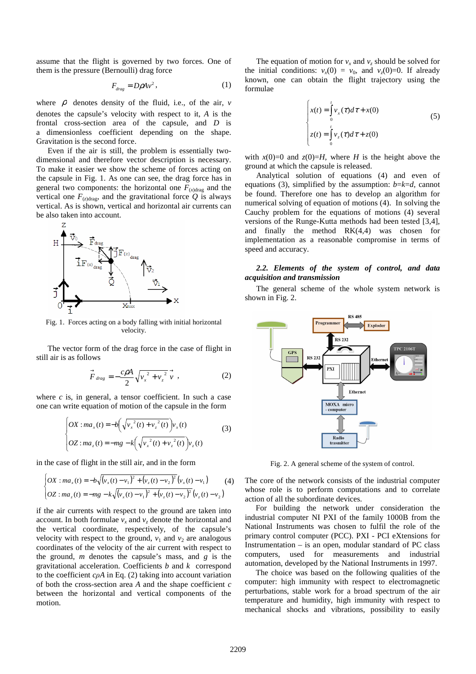assume that the flight is governed by two forces. One of them is the pressure (Bernoulli) drag force

$$
F_{drag} = D\rho A v^2, \qquad (1)
$$

where  $\rho$  denotes density of the fluid, i.e., of the air,  $\nu$ denotes the capsule's velocity with respect to it, *A* is the frontal cross-section area of the capsule, and *D* is a dimensionless coefficient depending on the shape. Gravitation is the second force.

Even if the air is still, the problem is essentially twodimensional and therefore vector description is necessary. To make it easier we show the scheme of forces acting on the capsule in Fig. 1. As one can see, the drag force has in general two components: the horizontal one  $F_{(x)drag}$  and the vertical one  $F_{(z)drag}$ , and the gravitational force Q is always vertical. As is shown, vertical and horizontal air currents can be also taken into account.



Fig. 1. Forces acting on a body falling with initial horizontal velocity.

The vector form of the drag force in the case of flight in still air is as follows

$$
\vec{F}_{drag} = -\frac{c\rho A}{2} \sqrt{{v_x}^2 + {v_z}^2} \vec{v} \tag{2}
$$

where  $c$  is, in general, a tensor coefficient. In such a case one can write equation of motion of the capsule in the form

$$
\begin{cases}\nOX : ma_x(t) = -b\left(\sqrt{v_x^2(t) + v_z^2(t)}\right)v_x(t) \\
OZ : ma_z(t) = -mg - k\left(\sqrt{v_x^2(t) + v_z^2(t)}\right)v_z(t)\n\end{cases} \tag{3}
$$

in the case of flight in the still air, and in the form

$$
\begin{cases}\nOX: ma_x(t) = -b\sqrt{(v_x(t) - v_1)^2 + (v_z(t) - v_2)^2}(v_x(t) - v_1) \\
OZ: ma_z(t) = -mg - k\sqrt{(v_x(t) - v_1)^2 + (v_z(t) - v_2)^2}(v_z(t) - v_2)\n\end{cases}
$$
\n(4)

if the air currents with respect to the ground are taken into account. In both formulae  $v_x$  and  $v_z$  denote the horizontal and the vertical coordinate, respectively, of the capsule's velocity with respect to the ground,  $v_1$  and  $v_2$  are analogous coordinates of the velocity of the air current with respect to the ground, *m* denotes the capsule's mass, and *g* is the gravitational acceleration. Coefficients *b* and *k* correspond to the coefficient *cρA* in Eq. (2) taking into account variation of both the cross-section area *A* and the shape coefficient *c* between the horizontal and vertical components of the motion.

The equation of motion for  $v_x$  and  $v_z$  should be solved for the initial conditions:  $v_x(0) = v_0$ , and  $v_z(0) = 0$ . If already known, one can obtain the flight trajectory using the formulae

$$
\begin{cases}\nx(t) = \int_0^t v_x(\tau) d\tau + x(0) \\
z(t) = \int_0^t v_z(\tau) d\tau + z(0)\n\end{cases}
$$
\n(5)

with  $x(0)=0$  and  $z(0)=H$ , where *H* is the height above the ground at which the capsule is released.

Analytical solution of equations (4) and even of equations (3), simplified by the assumption:  $b=k=d$ , cannot be found. Therefore one has to develop an algorithm for numerical solving of equation of motions (4). In solving the Cauchy problem for the equations of motions (4) several versions of the Runge-Kutta methods had been tested [3,4], and finally the method RK(4,4) was chosen for implementation as a reasonable compromise in terms of speed and accuracy.

# *2.2. Elements of the system of control, and data acquisition and transmission*

The general scheme of the whole system network is shown in Fig. 2.



Fig. 2. A general scheme of the system of control.

The core of the network consists of the industrial computer whose role is to perform computations and to correlate action of all the subordinate devices.

For building the network under consideration the industrial computer NI PXI of the family 1000B from the National Instruments was chosen to fulfil the role of the primary control computer (PCC). PXI - PCI eXtensions for Instrumentation – is an open, modular standard of PC class computers, used for measurements and industrial automation, developed by the National Instruments in 1997.

The choice was based on the following qualities of the computer: high immunity with respect to electromagnetic perturbations, stable work for a broad spectrum of the air temperature and humidity, high immunity with respect to mechanical shocks and vibrations, possibility to easily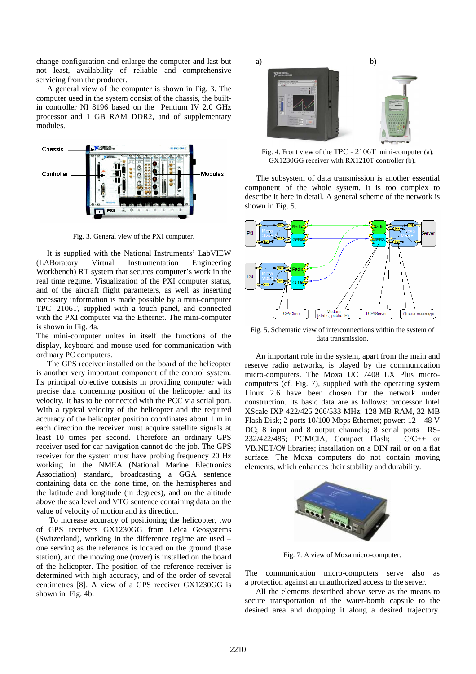change configuration and enlarge the computer and last but not least, availability of reliable and comprehensive servicing from the producer.

A general view of the computer is shown in Fig. 3. The computer used in the system consist of the chassis, the builtin controller NI 8196 based on the Pentium IV 2.0 GHz processor and 1 GB RAM DDR2, and of supplementary modules.



Fig. 3. General view of the PXI computer.

It is supplied with the National Instruments' LabVIEW (LABoratory Virtual Instrumentation Engineering Workbench) RT system that secures computer's work in the real time regime. Visualization of the PXI computer status, and of the aircraft flight parameters, as well as inserting necessary information is made possible by a mini-computer TPC - 2106T, supplied with a touch panel, and connected with the PXI computer via the Ethernet. The mini-computer is shown in Fig. 4a.

The mini-computer unites in itself the functions of the display, keyboard and mouse used for communication with ordinary PC computers.

The GPS receiver installed on the board of the helicopter is another very important component of the control system. Its principal objective consists in providing computer with precise data concerning position of the helicopter and its velocity. It has to be connected with the PCC via serial port. With a typical velocity of the helicopter and the required accuracy of the helicopter position coordinates about 1 m in each direction the receiver must acquire satellite signals at least 10 times per second. Therefore an ordinary GPS receiver used for car navigation cannot do the job. The GPS receiver for the system must have probing frequency 20 Hz working in the NMEA (National Marine Electronics Association) standard, broadcasting a GGA sentence containing data on the zone time, on the hemispheres and the latitude and longitude (in degrees), and on the altitude above the sea level and VTG sentence containing data on the value of velocity of motion and its direction.

 To increase accuracy of positioning the helicopter, two of GPS receivers GX1230GG from Leica Geosystems (Switzerland), working in the difference regime are used – one serving as the reference is located on the ground (base station), and the moving one (rover) is installed on the board of the helicopter. The position of the reference receiver is determined with high accuracy, and of the order of several centimetres [8]. A view of a GPS receiver GX1230GG is shown in Fig. 4b.



Fig. 4. Front view of the TPC - 2106T mini-computer (a). GX1230GG receiver with RX1210T controller (b).

The subsystem of data transmission is another essential component of the whole system. It is too complex to describe it here in detail. A general scheme of the network is shown in Fig. 5.



Fig. 5. Schematic view of interconnections within the system of data transmission.

An important role in the system, apart from the main and reserve radio networks, is played by the communication micro-computers. The Moxa UC 7408 LX Plus microcomputers (cf. Fig. 7), supplied with the operating system Linux 2.6 have been chosen for the network under construction. Its basic data are as follows: processor Intel XScale IXP-422/425 266/533 MHz; 128 MB RAM, 32 MB Flash Disk; 2 ports 10/100 Mbps Ethernet; power: 12 – 48 V DC; 8 input and 8 output channels; 8 serial ports RS-232/422/485; PCMCIA, Compact Flash; C/C++ or VB.NET/C# libraries; installation on a DIN rail or on a flat surface. The Moxa computers do not contain moving elements, which enhances their stability and durability.



Fig. 7. A view of Moxa micro-computer.

The communication micro-computers serve also as a protection against an unauthorized access to the server.

All the elements described above serve as the means to secure transportation of the water-bomb capsule to the desired area and dropping it along a desired trajectory.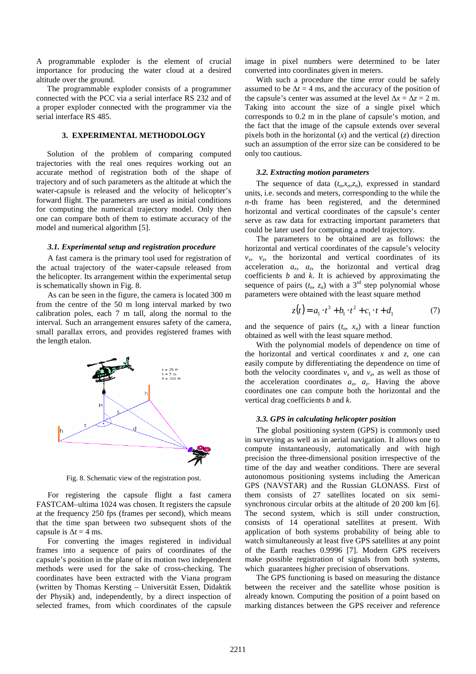A programmable exploder is the element of crucial importance for producing the water cloud at a desired altitude over the ground.

The programmable exploder consists of a programmer connected with the PCC via a serial interface RS 232 and of a proper exploder connected with the programmer via the serial interface RS 485.

## **3. EXPERIMENTAL METHODOLOGY**

Solution of the problem of comparing computed trajectories with the real ones requires working out an accurate method of registration both of the shape of trajectory and of such parameters as the altitude at which the water-capsule is released and the velocity of helicopter's forward flight. The parameters are used as initial conditions for computing the numerical trajectory model. Only then one can compare both of them to estimate accuracy of the model and numerical algorithm [5].

#### *3.1. Experimental setup and registration procedure*

A fast camera is the primary tool used for registration of the actual trajectory of the water-capsule released from the helicopter. Its arrangement within the experimental setup is schematically shown in Fig. 8.

As can be seen in the figure, the camera is located 300 m from the centre of the 50 m long interval marked by two calibration poles, each 7 m tall, along the normal to the interval. Such an arrangement ensures safety of the camera, small parallax errors, and provides registered frames with the length etalon.



Fig. 8. Schematic view of the registration post.

For registering the capsule flight a fast camera FASTCAM–ultima 1024 was chosen. It registers the capsule at the frequency 250 fps (frames per second), which means that the time span between two subsequent shots of the capsule is  $\Delta t = 4$  ms.

For converting the images registered in individual frames into a sequence of pairs of coordinates of the capsule's position in the plane of its motion two independent methods were used for the sake of cross-checking. The coordinates have been extracted with the Viana program (written by Thomas Kersting – Universität Essen, Didaktik der Physik) and, independently, by a direct inspection of selected frames, from which coordinates of the capsule image in pixel numbers were determined to be later converted into coordinates given in meters.

With such a procedure the time error could be safely assumed to be  $\Delta t = 4$  ms, and the accuracy of the position of the capsule's center was assumed at the level  $\Delta x = \Delta z = 2$  m. Taking into account the size of a single pixel which corresponds to 0.2 m in the plane of capsule's motion, and the fact that the image of the capsule extends over several pixels both in the horizontal  $(x)$  and the vertical  $(z)$  direction such an assumption of the error size can be considered to be only too cautious.

## *3.2. Extracting motion parameters*

The sequence of data  $(t_n, x_n, z_n)$ , expressed in standard units, i.e. seconds and meters, corresponding to the while the *n-*th frame has been registered, and the determined horizontal and vertical coordinates of the capsule's center serve as raw data for extracting important parameters that could be later used for computing a model trajectory.

The parameters to be obtained are as follows: the horizontal and vertical coordinates of the capsule's velocity  $v_x$ ,  $v_z$ , the horizontal and vertical coordinates of its acceleration  $a_x$ ,  $a_z$ , the horizontal and vertical drag coefficients *b* and *k*. It is achieved by approximating the sequence of pairs  $(t_n, z_n)$  with a 3<sup>rd</sup> step polynomial whose parameters were obtained with the least square method

$$
z(t) = a_1 \cdot t^3 + b_1 \cdot t^2 + c_1 \cdot t + d_1 \tag{7}
$$

and the sequence of pairs  $(t_n, x_n)$  with a linear function obtained as well with the least square method.

With the polynomial models of dependence on time of the horizontal and vertical coordinates *x* and *z*, one can easily compute by differentiating the dependence on time of both the velocity coordinates  $v_x$  and  $v_z$ , as well as those of the acceleration coordinates  $a_x$ ,  $a_z$ . Having the above coordinates one can compute both the horizontal and the vertical drag coefficients *b* and *k*.

#### *3.3. GPS in calculating helicopter position*

The global positioning system (GPS) is commonly used in surveying as well as in aerial navigation. It allows one to compute instantaneously, automatically and with high precision the three-dimensional position irrespective of the time of the day and weather conditions. There are several autonomous positioning systems including the American GPS (NAVSTAR) and the Russian GLONASS. First of them consists of 27 satellites located on six semisynchronous circular orbits at the altitude of 20 200 km [6]. The second system, which is still under construction, consists of 14 operational satellites at present. With application of both systems probability of being able to watch simultaneously at least five GPS satellites at any point of the Earth reaches 0.9996 [7]. Modern GPS receivers make possible registration of signals from both systems, which guarantees higher precision of observations.

The GPS functioning is based on measuring the distance between the receiver and the satellite whose position is already known. Computing the position of a point based on marking distances between the GPS receiver and reference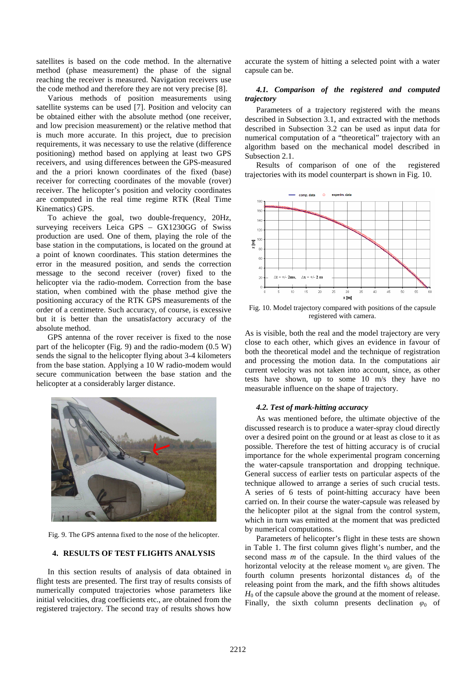satellites is based on the code method. In the alternative method (phase measurement) the phase of the signal reaching the receiver is measured. Navigation receivers use the code method and therefore they are not very precise [8].

Various methods of position measurements using satellite systems can be used [7]. Position and velocity can be obtained either with the absolute method (one receiver, and low precision measurement) or the relative method that is much more accurate. In this project, due to precision requirements, it was necessary to use the relative (difference positioning) method based on applying at least two GPS receivers, and using differences between the GPS-measured and the a priori known coordinates of the fixed (base) receiver for correcting coordinates of the movable (rover) receiver. The helicopter's position and velocity coordinates are computed in the real time regime RTK (Real Time Kinematics) GPS.

To achieve the goal, two double-frequency, 20Hz, surveying receivers Leica GPS – GX1230GG of Swiss production are used. One of them, playing the role of the base station in the computations, is located on the ground at a point of known coordinates. This station determines the error in the measured position, and sends the correction message to the second receiver (rover) fixed to the helicopter via the radio-modem. Correction from the base station, when combined with the phase method give the positioning accuracy of the RTK GPS measurements of the order of a centimetre. Such accuracy, of course, is excessive but it is better than the unsatisfactory accuracy of the absolute method.

GPS antenna of the rover receiver is fixed to the nose part of the helicopter (Fig. 9) and the radio-modem (0.5 W) sends the signal to the helicopter flying about 3-4 kilometers from the base station. Applying a 10 W radio-modem would secure communication between the base station and the helicopter at a considerably larger distance.



Fig. 9. The GPS antenna fixed to the nose of the helicopter.

## **4. RESULTS OF TEST FLIGHTS ANALYSIS**

In this section results of analysis of data obtained in flight tests are presented. The first tray of results consists of numerically computed trajectories whose parameters like initial velocities, drag coefficients etc., are obtained from the registered trajectory. The second tray of results shows how

accurate the system of hitting a selected point with a water capsule can be.

# *4.1. Comparison of the registered and computed trajectory*

Parameters of a trajectory registered with the means described in Subsection 3.1, and extracted with the methods described in Subsection 3.2 can be used as input data for numerical computation of a "theoretical" trajectory with an algorithm based on the mechanical model described in Subsection 2.1.

Results of comparison of one of the registered trajectories with its model counterpart is shown in Fig. 10.



Fig. 10. Model trajectory compared with positions of the capsule registered with camera.

As is visible, both the real and the model trajectory are very close to each other, which gives an evidence in favour of both the theoretical model and the technique of registration and processing the motion data. In the computations air current velocity was not taken into account, since, as other tests have shown, up to some 10 m/s they have no measurable influence on the shape of trajectory.

## *4.2. Test of mark-hitting accuracy*

As was mentioned before, the ultimate objective of the discussed research is to produce a water-spray cloud directly over a desired point on the ground or at least as close to it as possible. Therefore the test of hitting accuracy is of crucial importance for the whole experimental program concerning the water-capsule transportation and dropping technique. General success of earlier tests on particular aspects of the technique allowed to arrange a series of such crucial tests. A series of 6 tests of point-hitting accuracy have been carried on. In their course the water-capsule was released by the helicopter pilot at the signal from the control system, which in turn was emitted at the moment that was predicted by numerical computations.

Parameters of helicopter's flight in these tests are shown in Table 1. The first column gives flight's number, and the second mass *m* of the capsule. In the third values of the horizontal velocity at the release moment  $v_0$  are given. The fourth column presents horizontal distances  $d_0$  of the releasing point from the mark, and the fifth shows altitudes  $H_0$  of the capsule above the ground at the moment of release. Finally, the sixth column presents declination  $\varphi_0$  of